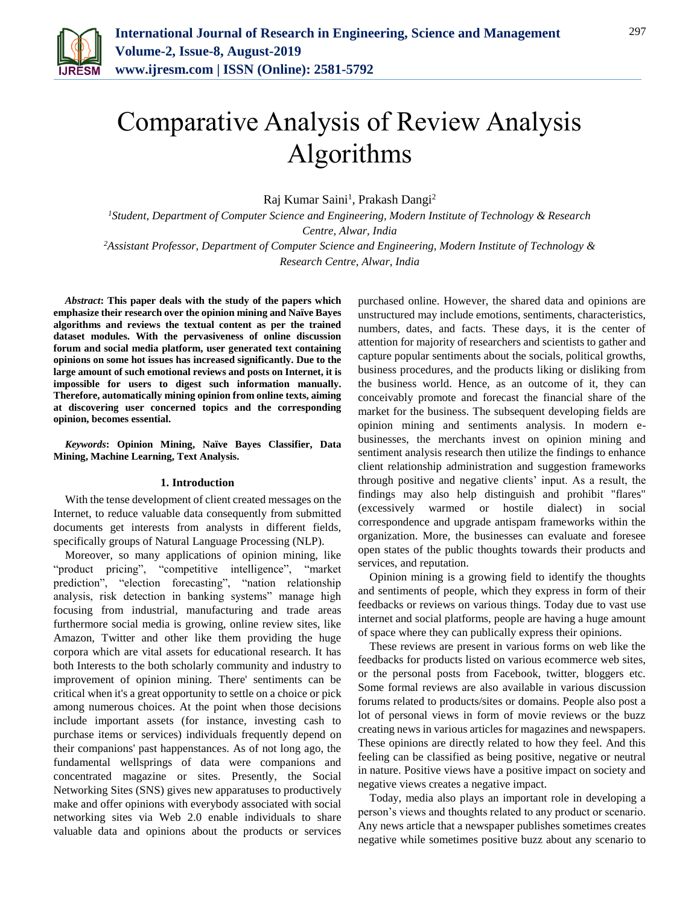

# Comparative Analysis of Review Analysis Algorithms

Raj Kumar Saini<sup>1</sup>, Prakash Dangi<sup>2</sup>

*<sup>1</sup>Student, Department of Computer Science and Engineering, Modern Institute of Technology & Research Centre, Alwar, India <sup>2</sup>Assistant Professor, Department of Computer Science and Engineering, Modern Institute of Technology & Research Centre, Alwar, India*

*Abstract***: This paper deals with the study of the papers which emphasize their research over the opinion mining and Naïve Bayes algorithms and reviews the textual content as per the trained dataset modules. With the pervasiveness of online discussion forum and social media platform, user generated text containing opinions on some hot issues has increased significantly. Due to the large amount of such emotional reviews and posts on Internet, it is impossible for users to digest such information manually. Therefore, automatically mining opinion from online texts, aiming at discovering user concerned topics and the corresponding opinion, becomes essential.**

*Keywords***: Opinion Mining, Naïve Bayes Classifier, Data Mining, Machine Learning, Text Analysis.**

## **1. Introduction**

With the tense development of client created messages on the Internet, to reduce valuable data consequently from submitted documents get interests from analysts in different fields, specifically groups of Natural Language Processing (NLP).

Moreover, so many applications of opinion mining, like "product pricing", "competitive intelligence", "market prediction", "election forecasting", "nation relationship analysis, risk detection in banking systems" manage high focusing from industrial, manufacturing and trade areas furthermore social media is growing, online review sites, like Amazon, Twitter and other like them providing the huge corpora which are vital assets for educational research. It has both Interests to the both scholarly community and industry to improvement of opinion mining. There' sentiments can be critical when it's a great opportunity to settle on a choice or pick among numerous choices. At the point when those decisions include important assets (for instance, investing cash to purchase items or services) individuals frequently depend on their companions' past happenstances. As of not long ago, the fundamental wellsprings of data were companions and concentrated magazine or sites. Presently, the Social Networking Sites (SNS) gives new apparatuses to productively make and offer opinions with everybody associated with social networking sites via Web 2.0 enable individuals to share valuable data and opinions about the products or services purchased online. However, the shared data and opinions are unstructured may include emotions, sentiments, characteristics, numbers, dates, and facts. These days, it is the center of attention for majority of researchers and scientists to gather and capture popular sentiments about the socials, political growths, business procedures, and the products liking or disliking from the business world. Hence, as an outcome of it, they can conceivably promote and forecast the financial share of the market for the business. The subsequent developing fields are opinion mining and sentiments analysis. In modern ebusinesses, the merchants invest on opinion mining and sentiment analysis research then utilize the findings to enhance client relationship administration and suggestion frameworks through positive and negative clients' input. As a result, the findings may also help distinguish and prohibit "flares" (excessively warmed or hostile dialect) in social correspondence and upgrade antispam frameworks within the organization. More, the businesses can evaluate and foresee open states of the public thoughts towards their products and services, and reputation.

Opinion mining is a growing field to identify the thoughts and sentiments of people, which they express in form of their feedbacks or reviews on various things. Today due to vast use internet and social platforms, people are having a huge amount of space where they can publically express their opinions.

These reviews are present in various forms on web like the feedbacks for products listed on various ecommerce web sites, or the personal posts from Facebook, twitter, bloggers etc. Some formal reviews are also available in various discussion forums related to products/sites or domains. People also post a lot of personal views in form of movie reviews or the buzz creating news in various articles for magazines and newspapers. These opinions are directly related to how they feel. And this feeling can be classified as being positive, negative or neutral in nature. Positive views have a positive impact on society and negative views creates a negative impact.

Today, media also plays an important role in developing a person's views and thoughts related to any product or scenario. Any news article that a newspaper publishes sometimes creates negative while sometimes positive buzz about any scenario to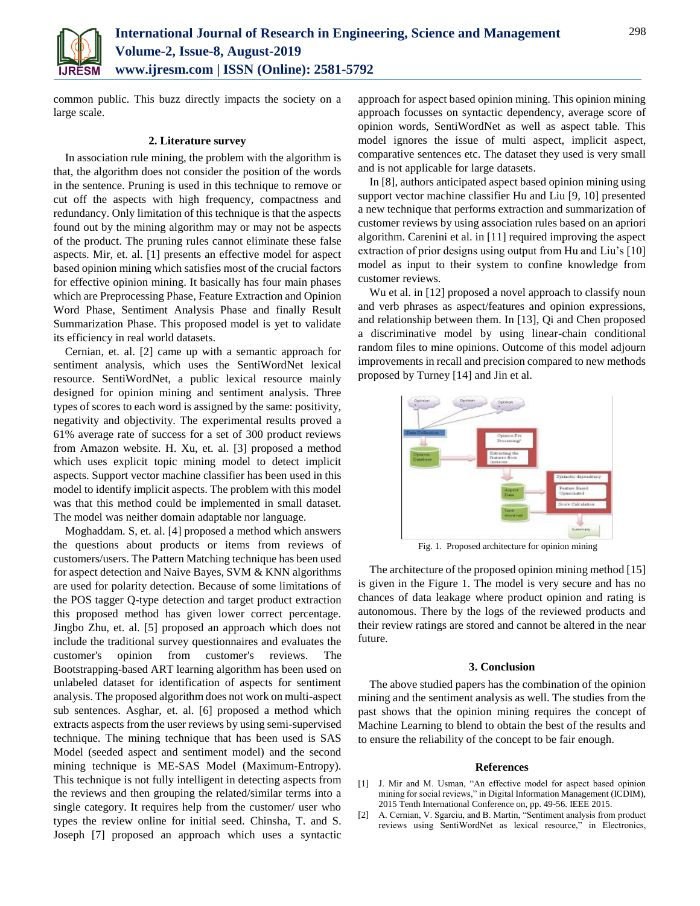

common public. This buzz directly impacts the society on a large scale.

#### **2. Literature survey**

In association rule mining, the problem with the algorithm is that, the algorithm does not consider the position of the words in the sentence. Pruning is used in this technique to remove or cut off the aspects with high frequency, compactness and redundancy. Only limitation of this technique is that the aspects found out by the mining algorithm may or may not be aspects of the product. The pruning rules cannot eliminate these false aspects. Mir, et. al. [1] presents an effective model for aspect based opinion mining which satisfies most of the crucial factors for effective opinion mining. It basically has four main phases which are Preprocessing Phase, Feature Extraction and Opinion Word Phase, Sentiment Analysis Phase and finally Result Summarization Phase. This proposed model is yet to validate its efficiency in real world datasets.

Cernian, et. al. [2] came up with a semantic approach for sentiment analysis, which uses the SentiWordNet lexical resource. SentiWordNet, a public lexical resource mainly designed for opinion mining and sentiment analysis. Three types of scores to each word is assigned by the same: positivity, negativity and objectivity. The experimental results proved a 61% average rate of success for a set of 300 product reviews from Amazon website. H. Xu, et. al. [3] proposed a method which uses explicit topic mining model to detect implicit aspects. Support vector machine classifier has been used in this model to identify implicit aspects. The problem with this model was that this method could be implemented in small dataset. The model was neither domain adaptable nor language.

Moghaddam. S, et. al. [4] proposed a method which answers the questions about products or items from reviews of customers/users. The Pattern Matching technique has been used for aspect detection and Naive Bayes, SVM & KNN algorithms are used for polarity detection. Because of some limitations of the POS tagger Q-type detection and target product extraction this proposed method has given lower correct percentage. Jingbo Zhu, et. al. [5] proposed an approach which does not include the traditional survey questionnaires and evaluates the customer's opinion from customer's reviews. The Bootstrapping-based ART learning algorithm has been used on unlabeled dataset for identification of aspects for sentiment analysis. The proposed algorithm does not work on multi-aspect sub sentences. Asghar, et. al. [6] proposed a method which extracts aspects from the user reviews by using semi-supervised technique. The mining technique that has been used is SAS Model (seeded aspect and sentiment model) and the second mining technique is ME-SAS Model (Maximum-Entropy). This technique is not fully intelligent in detecting aspects from the reviews and then grouping the related/similar terms into a single category. It requires help from the customer/ user who types the review online for initial seed. Chinsha, T. and S. Joseph [7] proposed an approach which uses a syntactic

approach for aspect based opinion mining. This opinion mining approach focusses on syntactic dependency, average score of opinion words, SentiWordNet as well as aspect table. This model ignores the issue of multi aspect, implicit aspect, comparative sentences etc. The dataset they used is very small and is not applicable for large datasets.

In [8], authors anticipated aspect based opinion mining using support vector machine classifier Hu and Liu [9, 10] presented a new technique that performs extraction and summarization of customer reviews by using association rules based on an apriori algorithm. Carenini et al. in [11] required improving the aspect extraction of prior designs using output from Hu and Liu's [10] model as input to their system to confine knowledge from customer reviews.

Wu et al. in [12] proposed a novel approach to classify noun and verb phrases as aspect/features and opinion expressions, and relationship between them. In [13], Qi and Chen proposed a discriminative model by using linear-chain conditional random files to mine opinions. Outcome of this model adjourn improvements in recall and precision compared to new methods proposed by Turney [14] and Jin et al.



Fig. 1. Proposed architecture for opinion mining

The architecture of the proposed opinion mining method [15] is given in the Figure 1. The model is very secure and has no chances of data leakage where product opinion and rating is autonomous. There by the logs of the reviewed products and their review ratings are stored and cannot be altered in the near future.

#### **3. Conclusion**

The above studied papers has the combination of the opinion mining and the sentiment analysis as well. The studies from the past shows that the opinion mining requires the concept of Machine Learning to blend to obtain the best of the results and to ensure the reliability of the concept to be fair enough.

## **References**

- [1] J. Mir and M. Usman, "An effective model for aspect based opinion mining for social reviews," in Digital Information Management (ICDIM), 2015 Tenth International Conference on, pp. 49-56. IEEE 2015.
- [2] A. Cernian, V. Sgarciu, and B. Martin, "Sentiment analysis from product reviews using SentiWordNet as lexical resource," in Electronics,